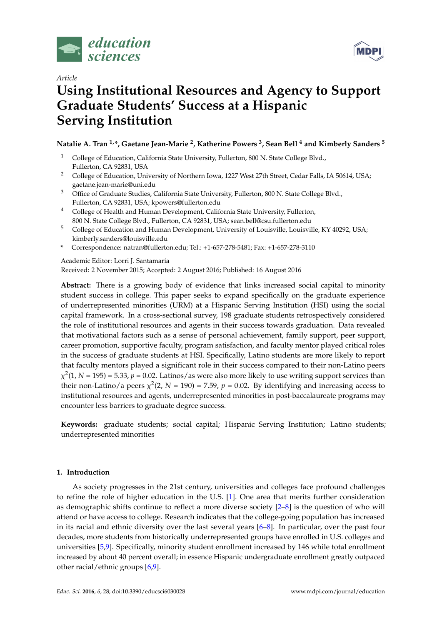

## *Article*



# **Using Institutional Resources and Agency to Support Graduate Students' Success at a Hispanic Serving Institution**

## **Natalie A. Tran 1,\*, Gaetane Jean-Marie <sup>2</sup> , Katherine Powers <sup>3</sup> , Sean Bell <sup>4</sup> and Kimberly Sanders <sup>5</sup>**

- <sup>1</sup> College of Education, California State University, Fullerton, 800 N. State College Blvd., Fullerton, CA 92831, USA
- <sup>2</sup> College of Education, University of Northern Iowa, 1227 West 27th Street, Cedar Falls, IA 50614, USA; gaetane.jean-marie@uni.edu
- <sup>3</sup> Office of Graduate Studies, California State University, Fullerton, 800 N. State College Blvd., Fullerton, CA 92831, USA; kpowers@fullerton.edu
- <sup>4</sup> College of Health and Human Development, California State University, Fullerton, 800 N. State College Blvd., Fullerton, CA 92831, USA; sean.bell@csu.fullerton.edu
- <sup>5</sup> College of Education and Human Development, University of Louisville, Louisville, KY 40292, USA; kimberly.sanders@louisville.edu
- **\*** Correspondence: natran@fullerton.edu; Tel.: +1-657-278-5481; Fax: +1-657-278-3110

Academic Editor: Lorri J. Santamaría

Received: 2 November 2015; Accepted: 2 August 2016; Published: 16 August 2016

**Abstract:** There is a growing body of evidence that links increased social capital to minority student success in college. This paper seeks to expand specifically on the graduate experience of underrepresented minorities (URM) at a Hispanic Serving Institution (HSI) using the social capital framework. In a cross-sectional survey, 198 graduate students retrospectively considered the role of institutional resources and agents in their success towards graduation. Data revealed that motivational factors such as a sense of personal achievement, family support, peer support, career promotion, supportive faculty, program satisfaction, and faculty mentor played critical roles in the success of graduate students at HSI. Specifically, Latino students are more likely to report that faculty mentors played a significant role in their success compared to their non-Latino peers  $\chi^2(1$ ,  $N$  = 195) = 5.33,  $p$  = 0.02. Latinos/as were also more likely to use writing support services than their non-Latino/a peers  $\chi^2(2, N = 190) = 7.59$ ,  $p = 0.02$ . By identifying and increasing access to institutional resources and agents, underrepresented minorities in post-baccalaureate programs may encounter less barriers to graduate degree success.

**Keywords:** graduate students; social capital; Hispanic Serving Institution; Latino students; underrepresented minorities

## **1. Introduction**

As society progresses in the 21st century, universities and colleges face profound challenges to refine the role of higher education in the U.S. [\[1\]](#page-10-0). One area that merits further consideration as demographic shifts continue to reflect a more diverse society [\[2](#page-10-1)[–8\]](#page-11-0) is the question of who will attend or have access to college. Research indicates that the college-going population has increased in its racial and ethnic diversity over the last several years [\[6](#page-10-2)[–8\]](#page-11-0). In particular, over the past four decades, more students from historically underrepresented groups have enrolled in U.S. colleges and universities [\[5](#page-10-3)[,9\]](#page-11-1). Specifically, minority student enrollment increased by 146 while total enrollment increased by about 40 percent overall; in essence Hispanic undergraduate enrollment greatly outpaced other racial/ethnic groups [\[6,](#page-10-2)[9\]](#page-11-1).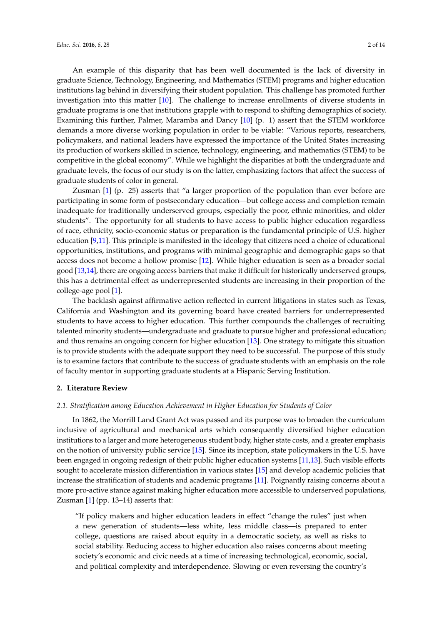An example of this disparity that has been well documented is the lack of diversity in graduate Science, Technology, Engineering, and Mathematics (STEM) programs and higher education institutions lag behind in diversifying their student population. This challenge has promoted further investigation into this matter [\[10\]](#page-11-2). The challenge to increase enrollments of diverse students in graduate programs is one that institutions grapple with to respond to shifting demographics of society. Examining this further, Palmer, Maramba and Dancy [\[10\]](#page-11-2) (p. 1) assert that the STEM workforce demands a more diverse working population in order to be viable: "Various reports, researchers, policymakers, and national leaders have expressed the importance of the United States increasing its production of workers skilled in science, technology, engineering, and mathematics (STEM) to be competitive in the global economy". While we highlight the disparities at both the undergraduate and graduate levels, the focus of our study is on the latter, emphasizing factors that affect the success of graduate students of color in general.

Zusman [\[1\]](#page-10-0) (p. 25) asserts that "a larger proportion of the population than ever before are participating in some form of postsecondary education—but college access and completion remain inadequate for traditionally underserved groups, especially the poor, ethnic minorities, and older students". The opportunity for all students to have access to public higher education regardless of race, ethnicity, socio-economic status or preparation is the fundamental principle of U.S. higher education [\[9,](#page-11-1)[11\]](#page-11-3). This principle is manifested in the ideology that citizens need a choice of educational opportunities, institutions, and programs with minimal geographic and demographic gaps so that access does not become a hollow promise [\[12\]](#page-11-4). While higher education is seen as a broader social good [\[13](#page-11-5)[,14\]](#page-11-6), there are ongoing access barriers that make it difficult for historically underserved groups, this has a detrimental effect as underrepresented students are increasing in their proportion of the college-age pool [\[1\]](#page-10-0).

The backlash against affirmative action reflected in current litigations in states such as Texas, California and Washington and its governing board have created barriers for underrepresented students to have access to higher education. This further compounds the challenges of recruiting talented minority students—undergraduate and graduate to pursue higher and professional education; and thus remains an ongoing concern for higher education [\[13\]](#page-11-5). One strategy to mitigate this situation is to provide students with the adequate support they need to be successful. The purpose of this study is to examine factors that contribute to the success of graduate students with an emphasis on the role of faculty mentor in supporting graduate students at a Hispanic Serving Institution.

#### **2. Literature Review**

#### *2.1. Stratification among Education Achievement in Higher Education for Students of Color*

In 1862, the Morrill Land Grant Act was passed and its purpose was to broaden the curriculum inclusive of agricultural and mechanical arts which consequently diversified higher education institutions to a larger and more heterogeneous student body, higher state costs, and a greater emphasis on the notion of university public service [\[15\]](#page-11-7). Since its inception, state policymakers in the U.S. have been engaged in ongoing redesign of their public higher education systems [\[11](#page-11-3)[,13\]](#page-11-5). Such visible efforts sought to accelerate mission differentiation in various states [\[15\]](#page-11-7) and develop academic policies that increase the stratification of students and academic programs [\[11\]](#page-11-3). Poignantly raising concerns about a more pro-active stance against making higher education more accessible to underserved populations, Zusman [\[1\]](#page-10-0) (pp. 13–14) asserts that:

"If policy makers and higher education leaders in effect "change the rules" just when a new generation of students—less white, less middle class—is prepared to enter college, questions are raised about equity in a democratic society, as well as risks to social stability. Reducing access to higher education also raises concerns about meeting society's economic and civic needs at a time of increasing technological, economic, social, and political complexity and interdependence. Slowing or even reversing the country's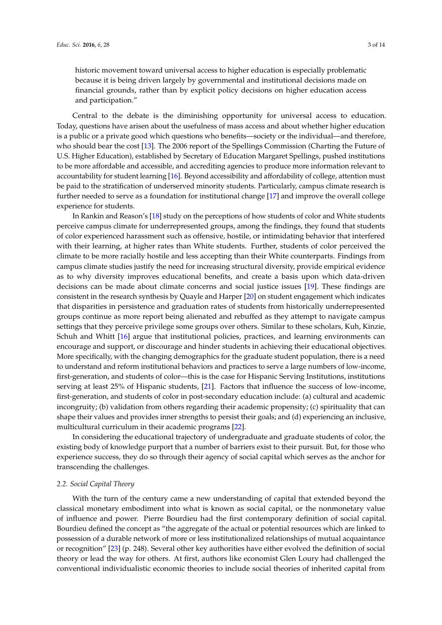historic movement toward universal access to higher education is especially problematic because it is being driven largely by governmental and institutional decisions made on financial grounds, rather than by explicit policy decisions on higher education access and participation."

Central to the debate is the diminishing opportunity for universal access to education. Today, questions have arisen about the usefulness of mass access and about whether higher education is a public or a private good which questions who benefits—society or the individual—and therefore, who should bear the cost [\[13\]](#page-11-5). The 2006 report of the Spellings Commission (Charting the Future of U.S. Higher Education), established by Secretary of Education Margaret Spellings, pushed institutions to be more affordable and accessible, and accrediting agencies to produce more information relevant to accountability for student learning [\[16\]](#page-11-8). Beyond accessibility and affordability of college, attention must be paid to the stratification of underserved minority students. Particularly, campus climate research is further needed to serve as a foundation for institutional change [\[17\]](#page-11-9) and improve the overall college experience for students.

In Rankin and Reason's [\[18\]](#page-11-10) study on the perceptions of how students of color and White students perceive campus climate for underrepresented groups, among the findings, they found that students of color experienced harassment such as offensive, hostile, or intimidating behavior that interfered with their learning, at higher rates than White students. Further, students of color perceived the climate to be more racially hostile and less accepting than their White counterparts. Findings from campus climate studies justify the need for increasing structural diversity, provide empirical evidence as to why diversity improves educational benefits, and create a basis upon which data-driven decisions can be made about climate concerns and social justice issues [\[19\]](#page-11-11). These findings are consistent in the research synthesis by Quayle and Harper [\[20\]](#page-11-12) on student engagement which indicates that disparities in persistence and graduation rates of students from historically underrepresented groups continue as more report being alienated and rebuffed as they attempt to navigate campus settings that they perceive privilege some groups over others. Similar to these scholars, Kuh, Kinzie, Schuh and Whitt [\[16\]](#page-11-8) argue that institutional policies, practices, and learning environments can encourage and support, or discourage and hinder students in achieving their educational objectives. More specifically, with the changing demographics for the graduate student population, there is a need to understand and reform institutional behaviors and practices to serve a large numbers of low-income, first-generation, and students of color—this is the case for Hispanic Serving Institutions, institutions serving at least 25% of Hispanic students, [\[21\]](#page-11-13). Factors that influence the success of low-income, first-generation, and students of color in post-secondary education include: (a) cultural and academic incongruity; (b) validation from others regarding their academic propensity; (c) spirituality that can shape their values and provides inner strengths to persist their goals; and (d) experiencing an inclusive, multicultural curriculum in their academic programs [\[22\]](#page-11-14).

In considering the educational trajectory of undergraduate and graduate students of color, the existing body of knowledge purport that a number of barriers exist to their pursuit. But, for those who experience success, they do so through their agency of social capital which serves as the anchor for transcending the challenges.

#### *2.2. Social Capital Theory*

With the turn of the century came a new understanding of capital that extended beyond the classical monetary embodiment into what is known as social capital, or the nonmonetary value of influence and power. Pierre Bourdieu had the first contemporary definition of social capital. Bourdieu defined the concept as "the aggregate of the actual or potential resources which are linked to possession of a durable network of more or less institutionalized relationships of mutual acquaintance or recognition" [\[23\]](#page-11-15) (p. 248). Several other key authorities have either evolved the definition of social theory or lead the way for others. At first, authors like economist Glen Loury had challenged the conventional individualistic economic theories to include social theories of inherited capital from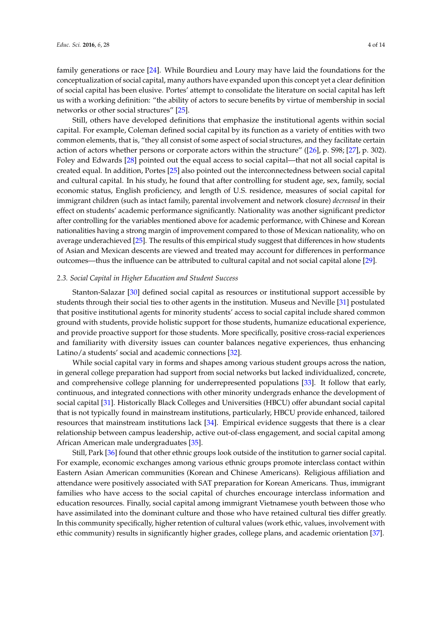family generations or race [\[24\]](#page-11-16). While Bourdieu and Loury may have laid the foundations for the conceptualization of social capital, many authors have expanded upon this concept yet a clear definition of social capital has been elusive. Portes' attempt to consolidate the literature on social capital has left us with a working definition: "the ability of actors to secure benefits by virtue of membership in social networks or other social structures" [\[25\]](#page-11-17).

Still, others have developed definitions that emphasize the institutional agents within social capital. For example, Coleman defined social capital by its function as a variety of entities with two common elements, that is, "they all consist of some aspect of social structures, and they facilitate certain action of actors whether persons or corporate actors within the structure" ([\[26\]](#page-11-18), p. S98; [\[27\]](#page-11-19), p. 302). Foley and Edwards [\[28\]](#page-11-20) pointed out the equal access to social capital—that not all social capital is created equal. In addition, Portes [\[25\]](#page-11-17) also pointed out the interconnectedness between social capital and cultural capital. In his study, he found that after controlling for student age, sex, family, social economic status, English proficiency, and length of U.S. residence, measures of social capital for immigrant children (such as intact family, parental involvement and network closure) *decreased* in their effect on students' academic performance significantly. Nationality was another significant predictor after controlling for the variables mentioned above for academic performance, with Chinese and Korean nationalities having a strong margin of improvement compared to those of Mexican nationality, who on average underachieved [\[25\]](#page-11-17). The results of this empirical study suggest that differences in how students of Asian and Mexican descents are viewed and treated may account for differences in performance outcomes—thus the influence can be attributed to cultural capital and not social capital alone [\[29\]](#page-11-21).

#### *2.3. Social Capital in Higher Education and Student Success*

Stanton-Salazar [\[30\]](#page-11-22) defined social capital as resources or institutional support accessible by students through their social ties to other agents in the institution. Museus and Neville [\[31\]](#page-11-23) postulated that positive institutional agents for minority students' access to social capital include shared common ground with students, provide holistic support for those students, humanize educational experience, and provide proactive support for those students. More specifically, positive cross-racial experiences and familiarity with diversity issues can counter balances negative experiences, thus enhancing Latino/a students' social and academic connections [\[32\]](#page-11-24).

While social capital vary in forms and shapes among various student groups across the nation, in general college preparation had support from social networks but lacked individualized, concrete, and comprehensive college planning for underrepresented populations [\[33\]](#page-11-25). It follow that early, continuous, and integrated connections with other minority undergrads enhance the development of social capital [\[31\]](#page-11-23). Historically Black Colleges and Universities (HBCU) offer abundant social capital that is not typically found in mainstream institutions, particularly, HBCU provide enhanced, tailored resources that mainstream institutions lack [\[34\]](#page-11-26). Empirical evidence suggests that there is a clear relationship between campus leadership, active out-of-class engagement, and social capital among African American male undergraduates [\[35\]](#page-12-0).

Still, Park [\[36\]](#page-12-1) found that other ethnic groups look outside of the institution to garner social capital. For example, economic exchanges among various ethnic groups promote interclass contact within Eastern Asian American communities (Korean and Chinese Americans). Religious affiliation and attendance were positively associated with SAT preparation for Korean Americans. Thus, immigrant families who have access to the social capital of churches encourage interclass information and education resources. Finally, social capital among immigrant Vietnamese youth between those who have assimilated into the dominant culture and those who have retained cultural ties differ greatly. In this community specifically, higher retention of cultural values (work ethic, values, involvement with ethic community) results in significantly higher grades, college plans, and academic orientation [\[37\]](#page-12-2).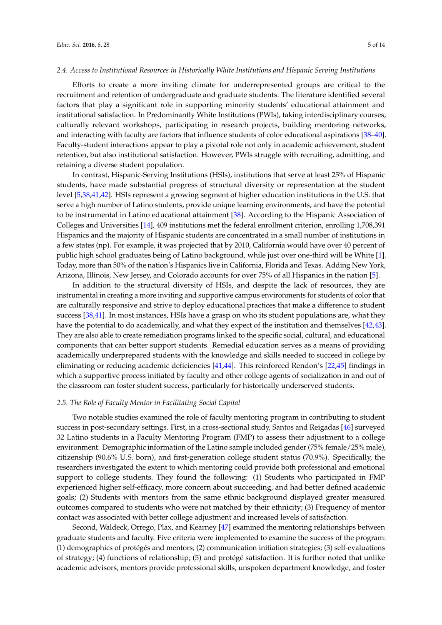#### *2.4. Access to Institutional Resources in Historically White Institutions and Hispanic Serving Institutions*

Efforts to create a more inviting climate for underrepresented groups are critical to the recruitment and retention of undergraduate and graduate students. The literature identified several factors that play a significant role in supporting minority students' educational attainment and institutional satisfaction. In Predominantly White Institutions (PWIs), taking interdisciplinary courses, culturally relevant workshops, participating in research projects, building mentoring networks, and interacting with faculty are factors that influence students of color educational aspirations [\[38–](#page-12-3)[40\]](#page-12-4). Faculty-student interactions appear to play a pivotal role not only in academic achievement, student retention, but also institutional satisfaction. However, PWIs struggle with recruiting, admitting, and retaining a diverse student population.

In contrast, Hispanic-Serving Institutions (HSIs), institutions that serve at least 25% of Hispanic students, have made substantial progress of structural diversity or representation at the student level [\[5,](#page-10-3)[38,](#page-12-3)[41,](#page-12-5)[42\]](#page-12-6). HSIs represent a growing segment of higher education institutions in the U.S. that serve a high number of Latino students, provide unique learning environments, and have the potential to be instrumental in Latino educational attainment [\[38\]](#page-12-3). According to the Hispanic Association of Colleges and Universities [\[14\]](#page-11-6), 409 institutions met the federal enrollment criterion, enrolling 1,708,391 Hispanics and the majority of Hispanic students are concentrated in a small number of institutions in a few states (np). For example, it was projected that by 2010, California would have over 40 percent of public high school graduates being of Latino background, while just over one-third will be White [\[1\]](#page-10-0). Today, more than 50% of the nation's Hispanics live in California, Florida and Texas. Adding New York, Arizona, Illinois, New Jersey, and Colorado accounts for over 75% of all Hispanics in the nation [\[5\]](#page-10-3).

In addition to the structural diversity of HSIs, and despite the lack of resources, they are instrumental in creating a more inviting and supportive campus environments for students of color that are culturally responsive and strive to deploy educational practices that make a difference to student success [\[38](#page-12-3)[,41\]](#page-12-5). In most instances, HSIs have a grasp on who its student populations are, what they have the potential to do academically, and what they expect of the institution and themselves [\[42,](#page-12-6)[43\]](#page-12-7). They are also able to create remediation programs linked to the specific social, cultural, and educational components that can better support students. Remedial education serves as a means of providing academically underprepared students with the knowledge and skills needed to succeed in college by eliminating or reducing academic deficiencies [\[41](#page-12-5)[,44\]](#page-12-8). This reinforced Rendon's [\[22](#page-11-14)[,45\]](#page-12-9) findings in which a supportive process initiated by faculty and other college agents of socialization in and out of the classroom can foster student success, particularly for historically underserved students.

#### *2.5. The Role of Faculty Mentor in Facilitating Social Capital*

Two notable studies examined the role of faculty mentoring program in contributing to student success in post-secondary settings. First, in a cross-sectional study, Santos and Reigadas [\[46\]](#page-12-10) surveyed 32 Latino students in a Faculty Mentoring Program (FMP) to assess their adjustment to a college environment. Demographic information of the Latino sample included gender (75% female/25% male), citizenship (90.6% U.S. born), and first-generation college student status (70.9%). Specifically, the researchers investigated the extent to which mentoring could provide both professional and emotional support to college students. They found the following: (1) Students who participated in FMP experienced higher self-efficacy, more concern about succeeding, and had better defined academic goals; (2) Students with mentors from the same ethnic background displayed greater measured outcomes compared to students who were not matched by their ethnicity; (3) Frequency of mentor contact was associated with better college adjustment and increased levels of satisfaction.

Second, Waldeck, Orrego, Plax, and Kearney [\[47\]](#page-12-11) examined the mentoring relationships between graduate students and faculty. Five criteria were implemented to examine the success of the program: (1) demographics of protégés and mentors; (2) communication initiation strategies; (3) self-evaluations of strategy; (4) functions of relationship; (5) and protégé satisfaction. It is further noted that unlike academic advisors, mentors provide professional skills, unspoken department knowledge, and foster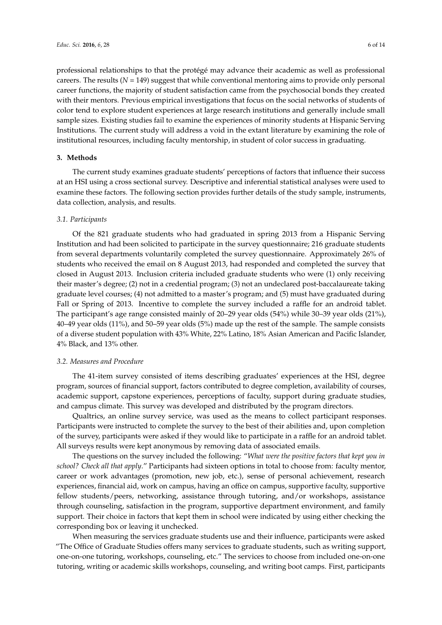professional relationships to that the protégé may advance their academic as well as professional careers. The results (*N* = 149) suggest that while conventional mentoring aims to provide only personal career functions, the majority of student satisfaction came from the psychosocial bonds they created with their mentors. Previous empirical investigations that focus on the social networks of students of color tend to explore student experiences at large research institutions and generally include small sample sizes. Existing studies fail to examine the experiences of minority students at Hispanic Serving Institutions. The current study will address a void in the extant literature by examining the role of institutional resources, including faculty mentorship, in student of color success in graduating.

#### **3. Methods**

The current study examines graduate students' perceptions of factors that influence their success at an HSI using a cross sectional survey. Descriptive and inferential statistical analyses were used to examine these factors. The following section provides further details of the study sample, instruments, data collection, analysis, and results.

#### *3.1. Participants*

Of the 821 graduate students who had graduated in spring 2013 from a Hispanic Serving Institution and had been solicited to participate in the survey questionnaire; 216 graduate students from several departments voluntarily completed the survey questionnaire. Approximately 26% of students who received the email on 8 August 2013, had responded and completed the survey that closed in August 2013. Inclusion criteria included graduate students who were (1) only receiving their master's degree; (2) not in a credential program; (3) not an undeclared post-baccalaureate taking graduate level courses; (4) not admitted to a master's program; and (5) must have graduated during Fall or Spring of 2013. Incentive to complete the survey included a raffle for an android tablet. The participant's age range consisted mainly of 20–29 year olds (54%) while 30–39 year olds (21%), 40–49 year olds (11%), and 50–59 year olds (5%) made up the rest of the sample. The sample consists of a diverse student population with 43% White, 22% Latino, 18% Asian American and Pacific Islander, 4% Black, and 13% other.

#### *3.2. Measures and Procedure*

The 41-item survey consisted of items describing graduates' experiences at the HSI, degree program, sources of financial support, factors contributed to degree completion, availability of courses, academic support, capstone experiences, perceptions of faculty, support during graduate studies, and campus climate. This survey was developed and distributed by the program directors.

Qualtrics, an online survey service, was used as the means to collect participant responses. Participants were instructed to complete the survey to the best of their abilities and, upon completion of the survey, participants were asked if they would like to participate in a raffle for an android tablet. All surveys results were kept anonymous by removing data of associated emails.

The questions on the survey included the following: "*What were the positive factors that kept you in school? Check all that apply*." Participants had sixteen options in total to choose from: faculty mentor, career or work advantages (promotion, new job, etc.), sense of personal achievement, research experiences, financial aid, work on campus, having an office on campus, supportive faculty, supportive fellow students/peers, networking, assistance through tutoring, and/or workshops, assistance through counseling, satisfaction in the program, supportive department environment, and family support. Their choice in factors that kept them in school were indicated by using either checking the corresponding box or leaving it unchecked.

When measuring the services graduate students use and their influence, participants were asked "The Office of Graduate Studies offers many services to graduate students, such as writing support, one-on-one tutoring, workshops, counseling, etc." The services to choose from included one-on-one tutoring, writing or academic skills workshops, counseling, and writing boot camps. First, participants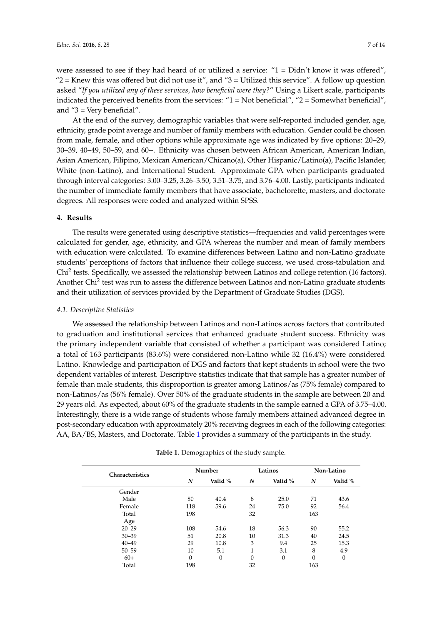were assessed to see if they had heard of or utilized a service: "1 = Didn't know it was offered", " $2$  = Knew this was offered but did not use it", and " $3$  = Utilized this service". A follow up question asked "*If you utilized any of these services, how beneficial were they?*" Using a Likert scale, participants indicated the perceived benefits from the services: "1 = Not beneficial", "2 = Somewhat beneficial", and "3 = Very beneficial".

At the end of the survey, demographic variables that were self-reported included gender, age, ethnicity, grade point average and number of family members with education. Gender could be chosen from male, female, and other options while approximate age was indicated by five options: 20–29, 30–39, 40–49, 50–59, and 60+. Ethnicity was chosen between African American, American Indian, Asian American, Filipino, Mexican American/Chicano(a), Other Hispanic/Latino(a), Pacific Islander, White (non-Latino), and International Student. Approximate GPA when participants graduated through interval categories: 3.00–3.25, 3.26–3.50, 3.51–3.75, and 3.76–4.00. Lastly, participants indicated the number of immediate family members that have associate, bachelorette, masters, and doctorate degrees. All responses were coded and analyzed within SPSS.

#### **4. Results**

The results were generated using descriptive statistics—frequencies and valid percentages were calculated for gender, age, ethnicity, and GPA whereas the number and mean of family members with education were calculated. To examine differences between Latino and non-Latino graduate students' perceptions of factors that influence their college success, we used cross-tabulation and Chi<sup>2</sup> tests. Specifically, we assessed the relationship between Latinos and college retention (16 factors). Another Chi<sup>2</sup> test was run to assess the difference between Latinos and non-Latino graduate students and their utilization of services provided by the Department of Graduate Studies (DGS).

#### *4.1. Descriptive Statistics*

We assessed the relationship between Latinos and non-Latinos across factors that contributed to graduation and institutional services that enhanced graduate student success. Ethnicity was the primary independent variable that consisted of whether a participant was considered Latino; a total of 163 participants (83.6%) were considered non-Latino while 32 (16.4%) were considered Latino. Knowledge and participation of DGS and factors that kept students in school were the two dependent variables of interest. Descriptive statistics indicate that that sample has a greater number of female than male students, this disproportion is greater among Latinos/as (75% female) compared to non-Latinos/as (56% female). Over 50% of the graduate students in the sample are between 20 and 29 years old. As expected, about 60% of the graduate students in the sample earned a GPA of 3.75–4.00. Interestingly, there is a wide range of students whose family members attained advanced degree in post-secondary education with approximately 20% receiving degrees in each of the following categories: AA, BA/BS, Masters, and Doctorate. Table [1](#page-7-0) provides a summary of the participants in the study.

| <b>Characteristics</b> |                  | Number       |        | Latinos        | Non-Latino |          |
|------------------------|------------------|--------------|--------|----------------|------------|----------|
|                        | N                | Valid %      | N      | Valid %        | N          | Valid %  |
| Gender                 |                  |              |        |                |            |          |
| Male                   | 80               | 40.4         | 8      | 25.0           | 71         | 43.6     |
| Female                 | 118              | 59.6         | 24     | 75.0           | 92         | 56.4     |
| Total                  | 198              |              | 32     |                | 163        |          |
| Age                    |                  |              |        |                |            |          |
| $20 - 29$              | 108              | 54.6         | 18     | 56.3           | 90         | 55.2     |
| $30 - 39$              | 51               | 20.8         | 10     | 31.3           | 40         | 24.5     |
| $40 - 49$              | 29               | 10.8         | 3      | 9.4            | 25         | 15.3     |
| $50 - 59$              | 10               | 5.1          | 1<br>T | 3.1            | 8          | 4.9      |
| $60+$                  | $\boldsymbol{0}$ | $\mathbf{0}$ | 0      | $\overline{0}$ | $\theta$   | $\theta$ |
| Total                  | 198              |              | 32     |                | 163        |          |

**Table 1.** Demographics of the study sample.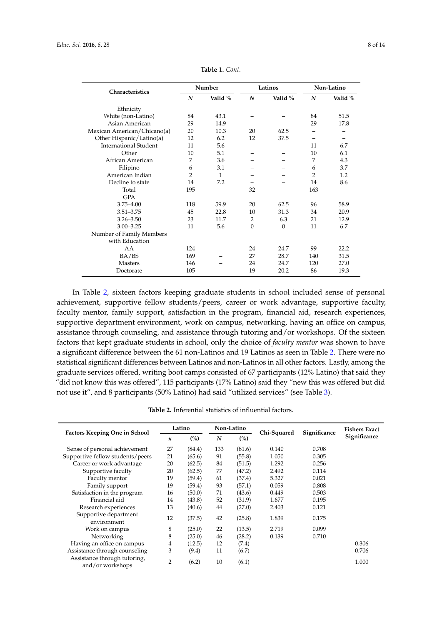<span id="page-7-0"></span>

| Characteristics              | Number         |         |                | Latinos  | Non-Latino |         |
|------------------------------|----------------|---------|----------------|----------|------------|---------|
|                              | N              | Valid % | N              | Valid %  | N          | Valid % |
| Ethnicity                    |                |         |                |          |            |         |
| White (non-Latino)           | 84             | 43.1    |                |          | 84         | 51.5    |
| Asian American               | 29             | 14.9    |                |          | 29         | 17.8    |
| Mexican American/Chicano(a)  | 20             | 10.3    | 20             | 62.5     |            |         |
| Other Hispanic/Latino(a)     | 12             | 6.2     | 12             | 37.5     |            |         |
| <b>International Student</b> | 11             | 5.6     |                |          | 11         | 6.7     |
| Other                        | 10             | 5.1     |                |          | 10         | 6.1     |
| African American             | 7              | 3.6     |                |          | 7          | 4.3     |
| Filipino                     | 6              | 3.1     |                |          | 6          | 3.7     |
| American Indian              | $\overline{2}$ | 1       |                |          | 2          | 1.2     |
| Decline to state             | 14             | 7.2     |                |          | 14         | 8.6     |
| Total                        | 195            |         | 32             |          | 163        |         |
| <b>GPA</b>                   |                |         |                |          |            |         |
| $3.75 - 4.00$                | 118            | 59.9    | 20             | 62.5     | 96         | 58.9    |
| $3.51 - 3.75$                | 45             | 22.8    | 10             | 31.3     | 34         | 20.9    |
| $3.26 - 3.50$                | 23             | 11.7    | $\overline{2}$ | 6.3      | 21         | 12.9    |
| $3.00 - 3.25$                | 11             | 5.6     | $\Omega$       | $\theta$ | 11         | 6.7     |
| Number of Family Members     |                |         |                |          |            |         |
| with Education               |                |         |                |          |            |         |
| AA                           | 124            |         | 24             | 24.7     | 99         | 22.2    |
| BA/BS                        | 169            |         | 27             | 28.7     | 140        | 31.5    |
| <b>Masters</b>               | 146            |         | 24             | 24.7     | 120        | 27.0    |
| Doctorate                    | 105            |         | 19             | 20.2     | 86         | 19.3    |

**Table 1.** *Cont.*

In Table [2,](#page-7-1) sixteen factors keeping graduate students in school included sense of personal achievement, supportive fellow students/peers, career or work advantage, supportive faculty, faculty mentor, family support, satisfaction in the program, financial aid, research experiences, supportive department environment, work on campus, networking, having an office on campus, assistance through counseling, and assistance through tutoring and/or workshops. Of the sixteen factors that kept graduate students in school, only the choice of *faculty mentor* was shown to have a significant difference between the 61 non-Latinos and 19 Latinos as seen in Table [2.](#page-7-1) There were no statistical significant differences between Latinos and non-Latinos in all other factors. Lastly, among the graduate services offered, writing boot camps consisted of 67 participants (12% Latino) that said they "did not know this was offered", 115 participants (17% Latino) said they "new this was offered but did not use it", and 8 participants (50% Latino) had said "utilized services" (see Table [3\)](#page-8-0).

| <b>Table 2.</b> Inferential statistics of influential factors. |
|----------------------------------------------------------------|
|----------------------------------------------------------------|

<span id="page-7-1"></span>

| <b>Factors Keeping One in School</b>             | Latino         |        | Non-Latino |        | Chi-Squared | Significance | <b>Fishers Exact</b> |
|--------------------------------------------------|----------------|--------|------------|--------|-------------|--------------|----------------------|
|                                                  | n              | (%)    | N          | (%)    |             |              | Significance         |
| Sense of personal achievement                    | 27             | (84.4) | 133        | (81.6) | 0.140       | 0.708        |                      |
| Supportive fellow students/peers                 | 21             | (65.6) | 91         | (55.8) | 1.050       | 0.305        |                      |
| Career or work advantage                         | 20             | (62.5) | 84         | (51.5) | 1.292       | 0.256        |                      |
| Supportive faculty                               | 20             | (62.5) | 77         | (47.2) | 2.492       | 0.114        |                      |
| Faculty mentor                                   | 19             | (59.4) | 61         | (37.4) | 5.327       | 0.021        |                      |
| Family support                                   | 19             | (59.4) | 93         | (57.1) | 0.059       | 0.808        |                      |
| Satisfaction in the program                      | 16             | (50.0) | 71         | (43.6) | 0.449       | 0.503        |                      |
| Financial aid                                    | 14             | (43.8) | 52         | (31.9) | 1.677       | 0.195        |                      |
| Research experiences                             | 13             | (40.6) | 44         | (27.0) | 2.403       | 0.121        |                      |
| Supportive department<br>environment             | 12             | (37.5) | 42         | (25.8) | 1.839       | 0.175        |                      |
| Work on campus                                   | 8              | (25.0) | 22         | (13.5) | 2.719       | 0.099        |                      |
| Networking                                       | 8              | (25.0) | 46         | (28.2) | 0.139       | 0.710        |                      |
| Having an office on campus                       | 4              | (12.5) | 12         | (7.4)  |             |              | 0.306                |
| Assistance through counseling                    | 3              | (9.4)  | 11         | (6.7)  |             |              | 0.706                |
| Assistance through tutoring,<br>and/or workshops | $\overline{2}$ | (6.2)  | 10         | (6.1)  |             |              | 1.000                |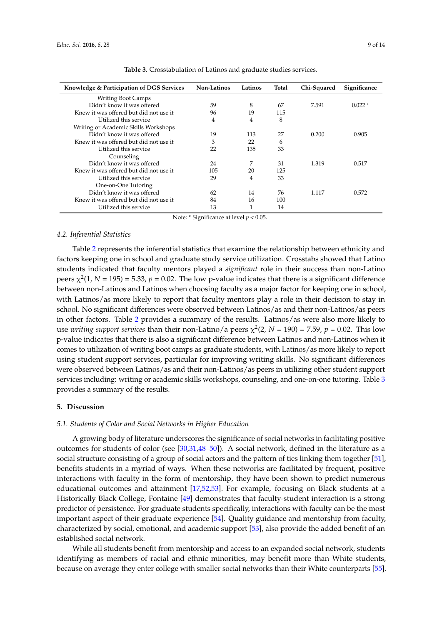<span id="page-8-0"></span>

| Knowledge & Participation of DGS Services | Non-Latinos | Latinos | Total | Chi-Squared | Significance |
|-------------------------------------------|-------------|---------|-------|-------------|--------------|
| <b>Writing Boot Camps</b>                 |             |         |       |             |              |
| Didn't know it was offered                | 59          | 8       | 67    | 7.591       | $0.022*$     |
| Knew it was offered but did not use it    | 96          | 19      | 115   |             |              |
| Utilized this service                     | 4           | 4       | 8     |             |              |
| Writing or Academic Skills Workshops      |             |         |       |             |              |
| Didn't know it was offered                | 19          | 113     | 27    | 0.200       | 0.905        |
| Knew it was offered but did not use it    | 3           | 22      | 6     |             |              |
| Utilized this service                     | 22          | 135     | 33    |             |              |
| Counseling                                |             |         |       |             |              |
| Didn't know it was offered                | 24          | 7       | 31    | 1.319       | 0.517        |
| Knew it was offered but did not use it    | 105         | 20      | 125   |             |              |
| Utilized this service                     | 29          | 4       | 33    |             |              |
| One-on-One Tutoring                       |             |         |       |             |              |
| Didn't know it was offered                | 62          | 14      | 76    | 1.117       | 0.572        |
| Knew it was offered but did not use it    | 84          | 16      | 100   |             |              |
| Utilized this service                     | 13          |         | 14    |             |              |

**Table 3.** Crosstabulation of Latinos and graduate studies services.

Note: \* Significance at level *p* < 0.05.

#### *4.2. Inferential Statistics*

Table [2](#page-7-1) represents the inferential statistics that examine the relationship between ethnicity and factors keeping one in school and graduate study service utilization. Crosstabs showed that Latino students indicated that faculty mentors played a *significant* role in their success than non-Latino peers  $\chi^2(1, N = 195) = 5.33$ ,  $p = 0.02$ . The low p-value indicates that there is a significant difference between non-Latinos and Latinos when choosing faculty as a major factor for keeping one in school, with Latinos/as more likely to report that faculty mentors play a role in their decision to stay in school. No significant differences were observed between Latinos/as and their non-Latinos/as peers in other factors. Table [2](#page-7-1) provides a summary of the results. Latinos/as were also more likely to use *writing support services* than their non-Latino/a peers  $\chi^2(2, N = 190) = 7.59$ ,  $p = 0.02$ . This low p-value indicates that there is also a significant difference between Latinos and non-Latinos when it comes to utilization of writing boot camps as graduate students, with Latinos/as more likely to report using student support services, particular for improving writing skills. No significant differences were observed between Latinos/as and their non-Latinos/as peers in utilizing other student support services including: writing or academic skills workshops, counseling, and one-on-one tutoring. Table [3](#page-8-0) provides a summary of the results.

#### **5. Discussion**

#### *5.1. Students of Color and Social Networks in Higher Education*

A growing body of literature underscores the significance of social networks in facilitating positive outcomes for students of color (see [\[30](#page-11-22)[,31](#page-11-23)[,48](#page-12-12)[–50\]](#page-12-13)). A social network, defined in the literature as a social structure consisting of a group of social actors and the pattern of ties linking them together [\[51\]](#page-12-14), benefits students in a myriad of ways. When these networks are facilitated by frequent, positive interactions with faculty in the form of mentorship, they have been shown to predict numerous educational outcomes and attainment [\[17](#page-11-9)[,52,](#page-12-15)[53\]](#page-12-16). For example, focusing on Black students at a Historically Black College, Fontaine [\[49\]](#page-12-17) demonstrates that faculty-student interaction is a strong predictor of persistence. For graduate students specifically, interactions with faculty can be the most important aspect of their graduate experience [\[54\]](#page-12-18). Quality guidance and mentorship from faculty, characterized by social, emotional, and academic support [\[53\]](#page-12-16), also provide the added benefit of an established social network.

While all students benefit from mentorship and access to an expanded social network, students identifying as members of racial and ethnic minorities, may benefit more than White students, because on average they enter college with smaller social networks than their White counterparts [\[55\]](#page-12-19).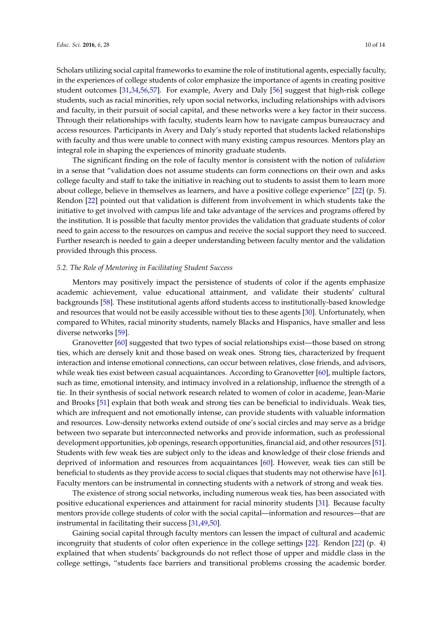Scholars utilizing social capital frameworks to examine the role of institutional agents, especially faculty, in the experiences of college students of color emphasize the importance of agents in creating positive student outcomes [\[31](#page-11-23)[,34](#page-11-26)[,56](#page-12-20)[,57\]](#page-12-21). For example, Avery and Daly [\[56\]](#page-12-20) suggest that high-risk college students, such as racial minorities, rely upon social networks, including relationships with advisors and faculty, in their pursuit of social capital, and these networks were a key factor in their success. Through their relationships with faculty, students learn how to navigate campus bureaucracy and access resources. Participants in Avery and Daly's study reported that students lacked relationships with faculty and thus were unable to connect with many existing campus resources. Mentors play an integral role in shaping the experiences of minority graduate students.

The significant finding on the role of faculty mentor is consistent with the notion of *validation* in a sense that "validation does not assume students can form connections on their own and asks college faculty and staff to take the initiative in reaching out to students to assist them to learn more about college, believe in themselves as learners, and have a positive college experience" [\[22\]](#page-11-14) (p. 5). Rendon [\[22\]](#page-11-14) pointed out that validation is different from involvement in which students take the initiative to get involved with campus life and take advantage of the services and programs offered by the institution. It is possible that faculty mentor provides the validation that graduate students of color need to gain access to the resources on campus and receive the social support they need to succeed. Further research is needed to gain a deeper understanding between faculty mentor and the validation provided through this process.

#### *5.2. The Role of Mentoring in Facilitating Student Success*

Mentors may positively impact the persistence of students of color if the agents emphasize academic achievement, value educational attainment, and validate their students' cultural backgrounds [\[58\]](#page-12-22). These institutional agents afford students access to institutionally-based knowledge and resources that would not be easily accessible without ties to these agents [\[30\]](#page-11-22). Unfortunately, when compared to Whites, racial minority students, namely Blacks and Hispanics, have smaller and less diverse networks [\[59\]](#page-13-0).

Granovetter [\[60\]](#page-13-1) suggested that two types of social relationships exist—those based on strong ties, which are densely knit and those based on weak ones. Strong ties, characterized by frequent interaction and intense emotional connections, can occur between relatives, close friends, and advisors, while weak ties exist between casual acquaintances. According to Granovetter [\[60\]](#page-13-1), multiple factors, such as time, emotional intensity, and intimacy involved in a relationship, influence the strength of a tie. In their synthesis of social network research related to women of color in academe, Jean-Marie and Brooks [\[51\]](#page-12-14) explain that both weak and strong ties can be beneficial to individuals. Weak ties, which are infrequent and not emotionally intense, can provide students with valuable information and resources. Low-density networks extend outside of one's social circles and may serve as a bridge between two separate but interconnected networks and provide information, such as professional development opportunities, job openings, research opportunities, financial aid, and other resources [\[51\]](#page-12-14). Students with few weak ties are subject only to the ideas and knowledge of their close friends and deprived of information and resources from acquaintances [\[60\]](#page-13-1). However, weak ties can still be beneficial to students as they provide access to social cliques that students may not otherwise have [\[61\]](#page-13-2). Faculty mentors can be instrumental in connecting students with a network of strong and weak ties.

The existence of strong social networks, including numerous weak ties, has been associated with positive educational experiences and attainment for racial minority students [\[31\]](#page-11-23). Because faculty mentors provide college students of color with the social capital—information and resources—that are instrumental in facilitating their success [\[31,](#page-11-23)[49,](#page-12-17)[50\]](#page-12-13).

Gaining social capital through faculty mentors can lessen the impact of cultural and academic incongruity that students of color often experience in the college settings [\[22\]](#page-11-14). Rendon [\[22\]](#page-11-14) (p. 4) explained that when students' backgrounds do not reflect those of upper and middle class in the college settings, "students face barriers and transitional problems crossing the academic border.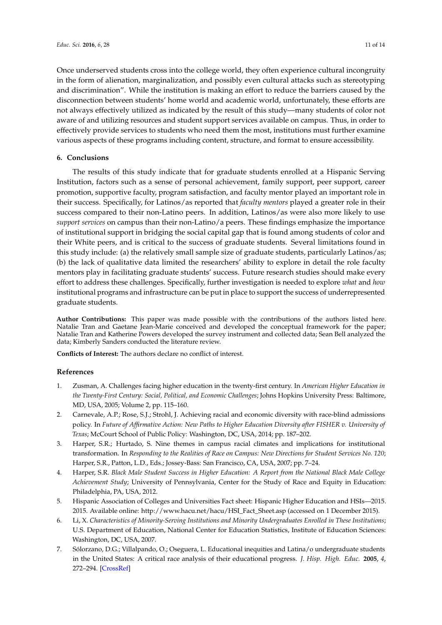Once underserved students cross into the college world, they often experience cultural incongruity in the form of alienation, marginalization, and possibly even cultural attacks such as stereotyping and discrimination". While the institution is making an effort to reduce the barriers caused by the disconnection between students' home world and academic world, unfortunately, these efforts are not always effectively utilized as indicated by the result of this study—many students of color not aware of and utilizing resources and student support services available on campus. Thus, in order to effectively provide services to students who need them the most, institutions must further examine various aspects of these programs including content, structure, and format to ensure accessibility.

## **6. Conclusions**

The results of this study indicate that for graduate students enrolled at a Hispanic Serving Institution, factors such as a sense of personal achievement, family support, peer support, career promotion, supportive faculty, program satisfaction, and faculty mentor played an important role in their success. Specifically, for Latinos/as reported that *faculty mentors* played a greater role in their success compared to their non-Latino peers. In addition, Latinos/as were also more likely to use *support services* on campus than their non-Latino/a peers. These findings emphasize the importance of institutional support in bridging the social capital gap that is found among students of color and their White peers, and is critical to the success of graduate students. Several limitations found in this study include: (a) the relatively small sample size of graduate students, particularly Latinos/as; (b) the lack of qualitative data limited the researchers' ability to explore in detail the role faculty mentors play in facilitating graduate students' success. Future research studies should make every effort to address these challenges. Specifically, further investigation is needed to explore *what* and *how* institutional programs and infrastructure can be put in place to support the success of underrepresented graduate students.

**Author Contributions:** This paper was made possible with the contributions of the authors listed here. Natalie Tran and Gaetane Jean-Marie conceived and developed the conceptual framework for the paper; Natalie Tran and Katherine Powers developed the survey instrument and collected data; Sean Bell analyzed the data; Kimberly Sanders conducted the literature review.

**Conflicts of Interest:** The authors declare no conflict of interest.

## **References**

- <span id="page-10-0"></span>1. Zusman, A. Challenges facing higher education in the twenty-first century. In *American Higher Education in the Twenty-First Century: Social, Political, and Economic Challenges*; Johns Hopkins University Press: Baltimore, MD, USA, 2005; Volume 2, pp. 115–160.
- <span id="page-10-1"></span>2. Carnevale, A.P.; Rose, S.J.; Strohl, J. Achieving racial and economic diversity with race-blind admissions policy. In *Future of Affirmative Action: New Paths to Higher Education Diversity after FISHER v. University of Texas*; McCourt School of Public Policy: Washington, DC, USA, 2014; pp. 187–202.
- 3. Harper, S.R.; Hurtado, S. Nine themes in campus racial climates and implications for institutional transformation. In *Responding to the Realities of Race on Campus: New Directions for Student Services No. 120*; Harper, S.R., Patton, L.D., Eds.; Jossey-Bass: San Francisco, CA, USA, 2007; pp. 7–24.
- 4. Harper, S.R. *Black Male Student Success in Higher Education: A Report from the National Black Male College Achievement Study*; University of Pennsylvania, Center for the Study of Race and Equity in Education: Philadelphia, PA, USA, 2012.
- <span id="page-10-3"></span>5. Hispanic Association of Colleges and Universities Fact sheet: Hispanic Higher Education and HSIs—2015. 2015. Available online: [http://www.hacu.net/hacu/HSI\\_Fact\\_Sheet.asp](http://www.hacu.net/hacu/HSI_Fact_Sheet.asp) (accessed on 1 December 2015).
- <span id="page-10-2"></span>6. Li, X. *Characteristics of Minority-Serving Institutions and Minority Undergraduates Enrolled in These Institutions*; U.S. Department of Education, National Center for Education Statistics, Institute of Education Sciences: Washington, DC, USA, 2007.
- 7. Sólorzano, D.G.; Villalpando, O.; Oseguera, L. Educational inequities and Latina/o undergraduate students in the United States: A critical race analysis of their educational progress. *J. Hisp. High. Educ.* **2005**, *4*, 272–294. [\[CrossRef\]](http://dx.doi.org/10.1177/1538192705276550)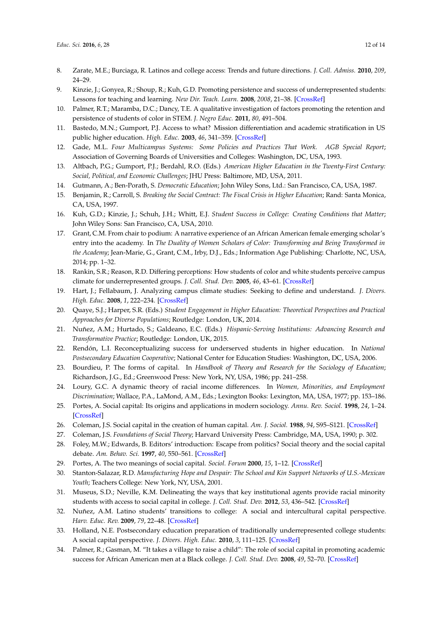- <span id="page-11-0"></span>8. Zarate, M.E.; Burciaga, R. Latinos and college access: Trends and future directions. *J. Coll. Admiss.* **2010**, *209*, 24–29.
- <span id="page-11-1"></span>9. Kinzie, J.; Gonyea, R.; Shoup, R.; Kuh, G.D. Promoting persistence and success of underrepresented students: Lessons for teaching and learning. *New Dir. Teach. Learn.* **2008**, *2008*, 21–38. [\[CrossRef\]](http://dx.doi.org/10.1002/tl.323)
- <span id="page-11-2"></span>10. Palmer, R.T.; Maramba, D.C.; Dancy, T.E. A qualitative investigation of factors promoting the retention and persistence of students of color in STEM. *J. Negro Educ.* **2011**, *80*, 491–504.
- <span id="page-11-3"></span>11. Bastedo, M.N.; Gumport, P.J. Access to what? Mission differentiation and academic stratification in US public higher education. *High. Educ.* **2003**, *46*, 341–359. [\[CrossRef\]](http://dx.doi.org/10.1023/A:1025374011204)
- <span id="page-11-4"></span>12. Gade, M.L. *Four Multicampus Systems: Some Policies and Practices That Work. AGB Special Report*; Association of Governing Boards of Universities and Colleges: Washington, DC, USA, 1993.
- <span id="page-11-5"></span>13. Altbach, P.G.; Gumport, P.J.; Berdahl, R.O. (Eds.) *American Higher Education in the Twenty-First Century: Social, Political, and Economic Challenges*; JHU Press: Baltimore, MD, USA, 2011.
- <span id="page-11-6"></span>14. Gutmann, A.; Ben-Porath, S. *Democratic Education*; John Wiley Sons, Ltd.: San Francisco, CA, USA, 1987.
- <span id="page-11-7"></span>15. Benjamin, R.; Carroll, S. *Breaking the Social Contract: The Fiscal Crisis in Higher Education*; Rand: Santa Monica, CA, USA, 1997.
- <span id="page-11-8"></span>16. Kuh, G.D.; Kinzie, J.; Schuh, J.H.; Whitt, E.J. *Student Success in College: Creating Conditions that Matter*; John Wiley Sons: San Francisco, CA, USA, 2010.
- <span id="page-11-9"></span>17. Grant, C.M. From chair to podium: A narrative experience of an African American female emerging scholar's entry into the academy. In *The Duality of Women Scholars of Color: Transforming and Being Transformed in the Academy*; Jean-Marie, G., Grant, C.M., Irby, D.J., Eds.; Information Age Publishing: Charlotte, NC, USA, 2014; pp. 1–32.
- <span id="page-11-10"></span>18. Rankin, S.R.; Reason, R.D. Differing perceptions: How students of color and white students perceive campus climate for underrepresented groups. *J. Coll. Stud. Dev.* **2005**, *46*, 43–61. [\[CrossRef\]](http://dx.doi.org/10.1353/csd.2005.0008)
- <span id="page-11-11"></span>19. Hart, J.; Fellabaum, J. Analyzing campus climate studies: Seeking to define and understand. *J. Divers. High. Educ.* **2008**, *1*, 222–234. [\[CrossRef\]](http://dx.doi.org/10.1037/a0013627)
- <span id="page-11-12"></span>20. Quaye, S.J.; Harper, S.R. (Eds.) *Student Engagement in Higher Education: Theoretical Perspectives and Practical Approaches for Diverse Populations*; Routledge: London, UK, 2014.
- <span id="page-11-13"></span>21. Nuñez, A.M.; Hurtado, S.; Galdeano, E.C. (Eds.) *Hispanic-Serving Institutions: Advancing Research and Transformative Practice*; Routledge: London, UK, 2015.
- <span id="page-11-14"></span>22. Rendón, L.I. Reconceptualizing success for underserved students in higher education. In *National Postsecondary Education Cooperative*; National Center for Education Studies: Washington, DC, USA, 2006.
- <span id="page-11-15"></span>23. Bourdieu, P. The forms of capital. In *Handbook of Theory and Research for the Sociology of Education*; Richardson, J.G., Ed.; Greenwood Press: New York, NY, USA, 1986; pp. 241–258.
- <span id="page-11-16"></span>24. Loury, G.C. A dynamic theory of racial income differences. In *Women, Minorities, and Employment Discrimination*; Wallace, P.A., LaMond, A.M., Eds.; Lexington Books: Lexington, MA, USA, 1977; pp. 153–186.
- <span id="page-11-17"></span>25. Portes, A. Social capital: Its origins and applications in modern sociology. *Annu. Rev. Sociol.* **1998**, *24*, 1–24. [\[CrossRef\]](http://dx.doi.org/10.1146/annurev.soc.24.1.1)
- <span id="page-11-18"></span>26. Coleman, J.S. Social capital in the creation of human capital. *Am. J. Sociol.* **1988**, *94*, S95–S121. [\[CrossRef\]](http://dx.doi.org/10.1086/228943)
- <span id="page-11-19"></span>27. Coleman, J.S. *Foundations of Social Theory*; Harvard University Press: Cambridge, MA, USA, 1990; p. 302.
- <span id="page-11-20"></span>28. Foley, M.W.; Edwards, B. Editors' introduction: Escape from politics? Social theory and the social capital debate. *Am. Behav. Sci.* **1997**, *40*, 550–561. [\[CrossRef\]](http://dx.doi.org/10.1177/0002764297040005002)
- <span id="page-11-21"></span>29. Portes, A. The two meanings of social capital. *Sociol. Forum* **2000**, *15*, 1–12. [\[CrossRef\]](http://dx.doi.org/10.1023/A:1007537902813)
- <span id="page-11-22"></span>30. Stanton-Salazar, R.D. *Manufacturing Hope and Despair: The School and Kin Support Networks of U.S.-Mexican Youth*; Teachers College: New York, NY, USA, 2001.
- <span id="page-11-23"></span>31. Museus, S.D.; Neville, K.M. Delineating the ways that key institutional agents provide racial minority students with access to social capital in college. *J. Coll. Stud. Dev.* **2012**, *53*, 436–542. [\[CrossRef\]](http://dx.doi.org/10.1353/csd.2012.0042)
- <span id="page-11-24"></span>32. Nuñez, A.M. Latino students' transitions to college: A social and intercultural capital perspective. *Harv. Educ. Rev.* **2009**, *79*, 22–48. [\[CrossRef\]](http://dx.doi.org/10.17763/haer.79.1.wh7164658k33w477)
- <span id="page-11-25"></span>33. Holland, N.E. Postsecondary education preparation of traditionally underrepresented college students: A social capital perspective. *J. Divers. High. Educ.* **2010**, *3*, 111–125. [\[CrossRef\]](http://dx.doi.org/10.1037/a0019249)
- <span id="page-11-26"></span>34. Palmer, R.; Gasman, M. "It takes a village to raise a child": The role of social capital in promoting academic success for African American men at a Black college. *J. Coll. Stud. Dev.* **2008**, *49*, 52–70. [\[CrossRef\]](http://dx.doi.org/10.1353/csd.2008.0002)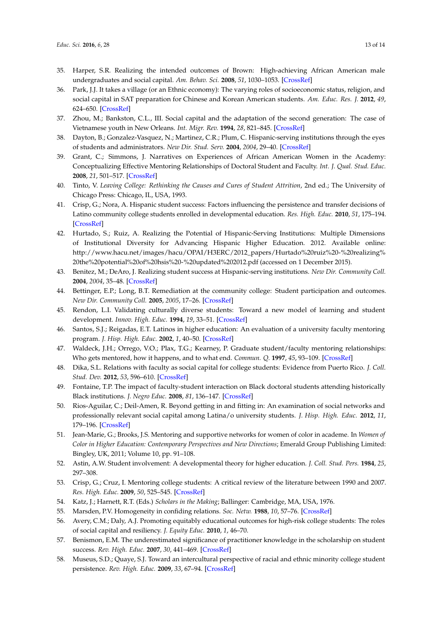- <span id="page-12-0"></span>35. Harper, S.R. Realizing the intended outcomes of Brown: High-achieving African American male undergraduates and social capital. *Am. Behav. Sci.* **2008**, *51*, 1030–1053. [\[CrossRef\]](http://dx.doi.org/10.1177/0002764207312004)
- <span id="page-12-1"></span>36. Park, J.J. It takes a village (or an Ethnic economy): The varying roles of socioeconomic status, religion, and social capital in SAT preparation for Chinese and Korean American students. *Am. Educ. Res. J.* **2012**, *49*, 624–650. [\[CrossRef\]](http://dx.doi.org/10.3102/0002831211425609)
- <span id="page-12-2"></span>37. Zhou, M.; Bankston, C.L., III. Social capital and the adaptation of the second generation: The case of Vietnamese youth in New Orleans. *Int. Migr. Rev.* **1994**, *28*, 821–845. [\[CrossRef\]](http://dx.doi.org/10.2307/2547159)
- <span id="page-12-3"></span>38. Dayton, B.; Gonzalez-Vasquez, N.; Martinez, C.R.; Plum, C. Hispanic-serving institutions through the eyes of students and administrators. *New Dir. Stud. Serv.* **2004**, *2004*, 29–40. [\[CrossRef\]](http://dx.doi.org/10.1002/ss.114)
- 39. Grant, C.; Simmons, J. Narratives on Experiences of African American Women in the Academy: Conceptualizing Effective Mentoring Relationships of Doctoral Student and Faculty. *Int. J. Qual. Stud. Educ.* **2008**, *21*, 501–517. [\[CrossRef\]](http://dx.doi.org/10.1080/09518390802297789)
- <span id="page-12-4"></span>40. Tinto, V. *Leaving College: Rethinking the Causes and Cures of Student Attrition*, 2nd ed.; The University of Chicago Press: Chicago, IL, USA, 1993.
- <span id="page-12-5"></span>41. Crisp, G.; Nora, A. Hispanic student success: Factors influencing the persistence and transfer decisions of Latino community college students enrolled in developmental education. *Res. High. Educ.* **2010**, *51*, 175–194. [\[CrossRef\]](http://dx.doi.org/10.1007/s11162-009-9151-x)
- <span id="page-12-6"></span>42. Hurtado, S.; Ruiz, A. Realizing the Potential of Hispanic-Serving Institutions: Multiple Dimensions of Institutional Diversity for Advancing Hispanic Higher Education. 2012. Available online: [http://www.hacu.net/images/hacu/OPAI/H3ERC/2012\\_papers/Hurtado%20ruiz%20-%20realizing%](http://www.hacu.net/images/hacu/OPAI/H3ERC/2012_papers/Hurtado%20ruiz%20-%20realizing%20the%20potential%20of%20hsis%20-%20updated%202012.pdf) [20the%20potential%20of%20hsis%20-%20updated%202012.pdf](http://www.hacu.net/images/hacu/OPAI/H3ERC/2012_papers/Hurtado%20ruiz%20-%20realizing%20the%20potential%20of%20hsis%20-%20updated%202012.pdf) (accessed on 1 December 2015).
- <span id="page-12-7"></span>43. Benitez, M.; DeAro, J. Realizing student success at Hispanic-serving institutions. *New Dir. Community Coll.* **2004**, *2004*, 35–48. [\[CrossRef\]](http://dx.doi.org/10.1002/cc.162)
- <span id="page-12-8"></span>44. Bettinger, E.P.; Long, B.T. Remediation at the community college: Student participation and outcomes. *New Dir. Community Coll.* **2005**, *2005*, 17–26. [\[CrossRef\]](http://dx.doi.org/10.1002/cc.182)
- <span id="page-12-9"></span>45. Rendon, L.I. Validating culturally diverse students: Toward a new model of learning and student development. *Innov. High. Educ.* **1994**, *19*, 33–51. [\[CrossRef\]](http://dx.doi.org/10.1007/BF01191156)
- <span id="page-12-10"></span>46. Santos, S.J.; Reigadas, E.T. Latinos in higher education: An evaluation of a university faculty mentoring program. *J. Hisp. High. Educ.* **2002**, *1*, 40–50. [\[CrossRef\]](http://dx.doi.org/10.1177/1538192702001001004)
- <span id="page-12-11"></span>47. Waldeck, J.H.; Orrego, V.O.; Plax, T.G.; Kearney, P. Graduate student/faculty mentoring relationships: Who gets mentored, how it happens, and to what end. *Commun. Q.* **1997**, *45*, 93–109. [\[CrossRef\]](http://dx.doi.org/10.1080/01463379709370054)
- <span id="page-12-12"></span>48. Dika, S.L. Relations with faculty as social capital for college students: Evidence from Puerto Rico. *J. Coll. Stud. Dev.* **2012**, *53*, 596–610. [\[CrossRef\]](http://dx.doi.org/10.1353/csd.2012.0051)
- <span id="page-12-17"></span>49. Fontaine, T.P. The impact of faculty-student interaction on Black doctoral students attending historically Black institutions. *J. Negro Educ.* **2008**, *81*, 136–147. [\[CrossRef\]](http://dx.doi.org/10.7709/jnegroeducation.81.2.0136)
- <span id="page-12-13"></span>50. Rios-Aguilar, C.; Deil-Amen, R. Beyond getting in and fitting in: An examination of social networks and professionally relevant social capital among Latina/o university students. *J. Hisp. High. Educ.* **2012**, *11*, 179–196. [\[CrossRef\]](http://dx.doi.org/10.1177/1538192711435555)
- <span id="page-12-14"></span>51. Jean-Marie, G.; Brooks, J.S. Mentoring and supportive networks for women of color in academe. In *Women of Color in Higher Education: Contemporary Perspectives and New Directions*; Emerald Group Publishing Limited: Bingley, UK, 2011; Volume 10, pp. 91–108.
- <span id="page-12-15"></span>52. Astin, A.W. Student involvement: A developmental theory for higher education. *J. Coll. Stud. Pers.* **1984**, *25*, 297–308.
- <span id="page-12-16"></span>53. Crisp, G.; Cruz, I. Mentoring college students: A critical review of the literature between 1990 and 2007. *Res. High. Educ.* **2009**, *50*, 525–545. [\[CrossRef\]](http://dx.doi.org/10.1007/s11162-009-9130-2)
- <span id="page-12-18"></span>54. Katz, J.; Harnett, R.T. (Eds.) *Scholars in the Making*; Ballinger: Cambridge, MA, USA, 1976.
- <span id="page-12-19"></span>55. Marsden, P.V. Homogeneity in confiding relations. *Soc. Netw.* **1988**, *10*, 57–76. [\[CrossRef\]](http://dx.doi.org/10.1016/0378-8733(88)90010-X)
- <span id="page-12-20"></span>56. Avery, C.M.; Daly, A.J. Promoting equitably educational outcomes for high-risk college students: The roles of social capital and resiliency. *J. Equity Educ.* **2010**, *1*, 46–70.
- <span id="page-12-21"></span>57. Benismon, E.M. The underestimated significance of practitioner knowledge in the scholarship on student success. *Rev. High. Educ.* **2007**, *30*, 441–469. [\[CrossRef\]](http://dx.doi.org/10.1353/rhe.2007.0032)
- <span id="page-12-22"></span>58. Museus, S.D.; Quaye, S.J. Toward an intercultural perspective of racial and ethnic minority college student persistence. *Rev. High. Educ.* **2009**, *33*, 67–94. [\[CrossRef\]](http://dx.doi.org/10.1353/rhe.0.0107)